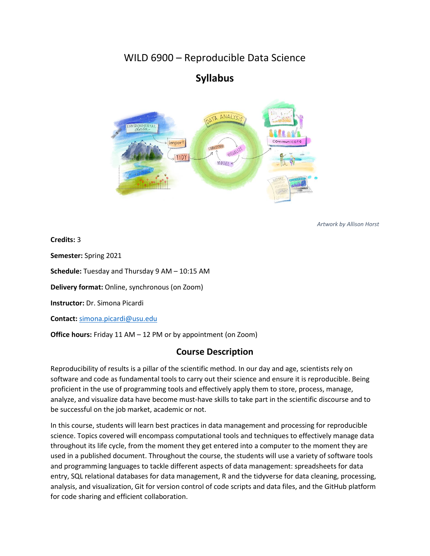# WILD 6900 – Reproducible Data Science

# **Syllabus**



*Artwork by Allison Horst*

**Credits:** 3

**Semester:** Spring 2021

**Schedule:** Tuesday and Thursday 9 AM – 10:15 AM

**Delivery format:** Online, synchronous (on Zoom)

**Instructor:** Dr. Simona Picardi

**Contact:** [simona.picardi@usu.edu](mailto:simona.picardi@usu.edu)

**Office hours:** Friday 11 AM – 12 PM or by appointment (on Zoom)

# **Course Description**

Reproducibility of results is a pillar of the scientific method. In our day and age, scientists rely on software and code as fundamental tools to carry out their science and ensure it is reproducible. Being proficient in the use of programming tools and effectively apply them to store, process, manage, analyze, and visualize data have become must-have skills to take part in the scientific discourse and to be successful on the job market, academic or not.

In this course, students will learn best practices in data management and processing for reproducible science. Topics covered will encompass computational tools and techniques to effectively manage data throughout its life cycle, from the moment they get entered into a computer to the moment they are used in a published document. Throughout the course, the students will use a variety of software tools and programming languages to tackle different aspects of data management: spreadsheets for data entry, SQL relational databases for data management, R and the tidyverse for data cleaning, processing, analysis, and visualization, Git for version control of code scripts and data files, and the GitHub platform for code sharing and efficient collaboration.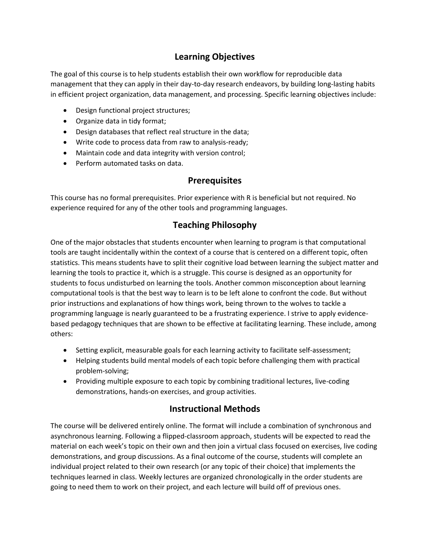# **Learning Objectives**

The goal of this course is to help students establish their own workflow for reproducible data management that they can apply in their day-to-day research endeavors, by building long-lasting habits in efficient project organization, data management, and processing. Specific learning objectives include:

- Design functional project structures;
- Organize data in tidy format;
- Design databases that reflect real structure in the data;
- Write code to process data from raw to analysis-ready;
- Maintain code and data integrity with version control;
- Perform automated tasks on data.

### **Prerequisites**

This course has no formal prerequisites. Prior experience with R is beneficial but not required. No experience required for any of the other tools and programming languages.

# **Teaching Philosophy**

One of the major obstacles that students encounter when learning to program is that computational tools are taught incidentally within the context of a course that is centered on a different topic, often statistics. This means students have to split their cognitive load between learning the subject matter and learning the tools to practice it, which is a struggle. This course is designed as an opportunity for students to focus undisturbed on learning the tools. Another common misconception about learning computational tools is that the best way to learn is to be left alone to confront the code. But without prior instructions and explanations of how things work, being thrown to the wolves to tackle a programming language is nearly guaranteed to be a frustrating experience. I strive to apply evidencebased pedagogy techniques that are shown to be effective at facilitating learning. These include, among others:

- Setting explicit, measurable goals for each learning activity to facilitate self-assessment;
- Helping students build mental models of each topic before challenging them with practical problem-solving;
- Providing multiple exposure to each topic by combining traditional lectures, live-coding demonstrations, hands-on exercises, and group activities.

# **Instructional Methods**

The course will be delivered entirely online. The format will include a combination of synchronous and asynchronous learning. Following a flipped-classroom approach, students will be expected to read the material on each week's topic on their own and then join a virtual class focused on exercises, live coding demonstrations, and group discussions. As a final outcome of the course, students will complete an individual project related to their own research (or any topic of their choice) that implements the techniques learned in class. Weekly lectures are organized chronologically in the order students are going to need them to work on their project, and each lecture will build off of previous ones.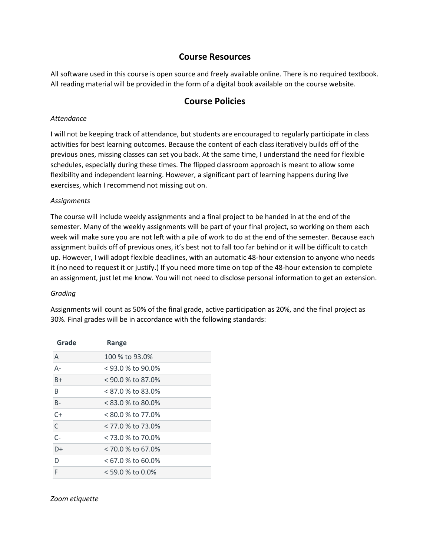### **Course Resources**

All software used in this course is open source and freely available online. There is no required textbook. All reading material will be provided in the form of a digital book available on the course website.

# **Course Policies**

#### *Attendance*

I will not be keeping track of attendance, but students are encouraged to regularly participate in class activities for best learning outcomes. Because the content of each class iteratively builds off of the previous ones, missing classes can set you back. At the same time, I understand the need for flexible schedules, especially during these times. The flipped classroom approach is meant to allow some flexibility and independent learning. However, a significant part of learning happens during live exercises, which I recommend not missing out on.

#### *Assignments*

The course will include weekly assignments and a final project to be handed in at the end of the semester. Many of the weekly assignments will be part of your final project, so working on them each week will make sure you are not left with a pile of work to do at the end of the semester. Because each assignment builds off of previous ones, it's best not to fall too far behind or it will be difficult to catch up. However, I will adopt flexible deadlines, with an automatic 48-hour extension to anyone who needs it (no need to request it or justify.) If you need more time on top of the 48-hour extension to complete an assignment, just let me know. You will not need to disclose personal information to get an extension.

#### *Grading*

Assignments will count as 50% of the final grade, active participation as 20%, and the final project as 30%. Final grades will be in accordance with the following standards:

| Grade | Range               |
|-------|---------------------|
| A     | 100 % to 93.0%      |
| $A -$ | $<$ 93.0 % to 90.0% |
| $B+$  | $<$ 90.0 % to 87.0% |
| B     | < 87.0 % to 83.0%   |
| $B -$ | $< 83.0$ % to 80.0% |
| $C+$  | < 80.0 % to 77.0%   |
| C     | < 77.0 % to 73.0%   |
| $C-$  | < 73.0 % to 70.0%   |
| $D+$  | < 70.0 % to 67.0%   |
| D     | $< 67.0$ % to 60.0% |
| F     | $<$ 59.0 % to 0.0%  |

#### *Zoom etiquette*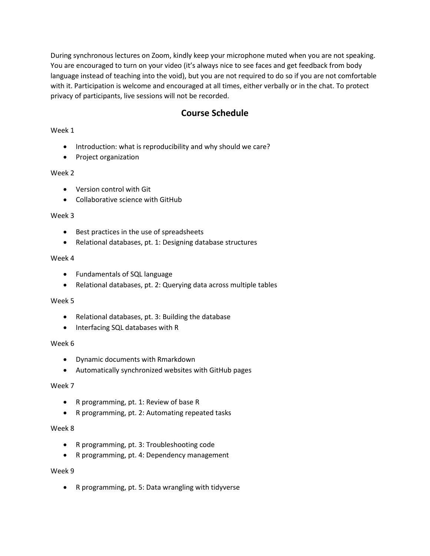During synchronous lectures on Zoom, kindly keep your microphone muted when you are not speaking. You are encouraged to turn on your video (it's always nice to see faces and get feedback from body language instead of teaching into the void), but you are not required to do so if you are not comfortable with it. Participation is welcome and encouraged at all times, either verbally or in the chat. To protect privacy of participants, live sessions will not be recorded.

# **Course Schedule**

#### Week 1

- Introduction: what is reproducibility and why should we care?
- Project organization

#### Week 2

- Version control with Git
- Collaborative science with GitHub

#### Week 3

- Best practices in the use of spreadsheets
- Relational databases, pt. 1: Designing database structures

#### Week 4

- Fundamentals of SQL language
- Relational databases, pt. 2: Querying data across multiple tables

#### Week 5

- Relational databases, pt. 3: Building the database
- Interfacing SQL databases with R

#### Week 6

- Dynamic documents with Rmarkdown
- Automatically synchronized websites with GitHub pages

#### Week 7

- R programming, pt. 1: Review of base R
- R programming, pt. 2: Automating repeated tasks

#### Week 8

- R programming, pt. 3: Troubleshooting code
- R programming, pt. 4: Dependency management

#### Week 9

• R programming, pt. 5: Data wrangling with tidyverse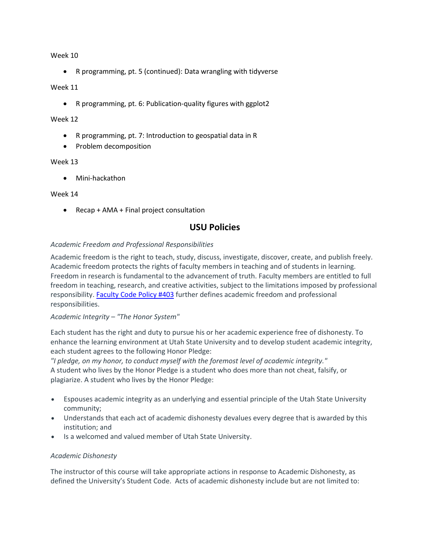Week 10

• R programming, pt. 5 (continued): Data wrangling with tidyverse

#### Week 11

• R programming, pt. 6: Publication-quality figures with ggplot2

#### Week 12

- R programming, pt. 7: Introduction to geospatial data in R
- Problem decomposition

#### Week 13

• Mini-hackathon

#### Week 14

• Recap + AMA + Final project consultation

### **USU Policies**

#### *Academic Freedom and Professional Responsibilities*

Academic freedom is the right to teach, study, discuss, investigate, discover, create, and publish freely. Academic freedom protects the rights of faculty members in teaching and of students in learning. Freedom in research is fundamental to the advancement of truth. Faculty members are entitled to full freedom in teaching, research, and creative activities, subject to the limitations imposed by professional responsibility. [Faculty](http://www.usu.edu/hr/files/uploads/Policies/403.pdf) Code Policy #403 further defines academic freedom and professional responsibilities.

#### *Academic Integrity – "The Honor System"*

Each student has the right and duty to pursue his or her academic experience free of dishonesty. To enhance the learning environment at Utah State University and to develop student academic integrity, each student agrees to the following Honor Pledge:

*"I pledge, on my honor, to conduct myself with the foremost level of academic integrity."* A student who lives by the Honor Pledge is a student who does more than not cheat, falsify, or plagiarize. A student who lives by the Honor Pledge:

- Espouses academic integrity as an underlying and essential principle of the Utah State University community;
- Understands that each act of academic dishonesty devalues every degree that is awarded by this institution; and
- Is a welcomed and valued member of Utah State University.

#### *Academic Dishonesty*

The instructor of this course will take appropriate actions in response to Academic Dishonesty, as defined the University's Student Code. Acts of academic dishonesty include but are not limited to: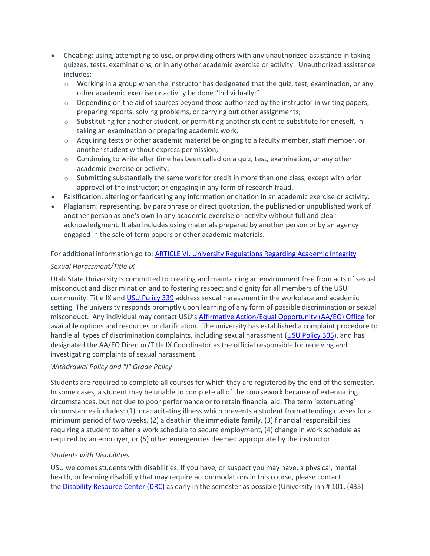- Cheating: using, attempting to use, or providing others with any unauthorized assistance in taking quizzes, tests, examinations, or in any other academic exercise or activity. Unauthorized assistance includes:
	- $\circ$  Working in a group when the instructor has designated that the quiz, test, examination, or any other academic exercise or activity be done "individually;"
	- $\circ$  Depending on the aid of sources beyond those authorized by the instructor in writing papers, preparing reports, solving problems, or carrying out other assignments;
	- $\circ$  Substituting for another student, or permitting another student to substitute for oneself, in taking an examination or preparing academic work;
	- $\circ$  Acquiring tests or other academic material belonging to a faculty member, staff member, or another student without express permission;
	- $\circ$  Continuing to write after time has been called on a quiz, test, examination, or any other academic exercise or activity;
	- $\circ$  Submitting substantially the same work for credit in more than one class, except with prior approval of the instructor; or engaging in any form of research fraud.
- Falsification: altering or fabricating any information or citation in an academic exercise or activity.
- Plagiarism: representing, by paraphrase or direct quotation, the published or unpublished work of another person as one's own in any academic exercise or activity without full and clear acknowledgment. It also includes using materials prepared by another person or by an agency engaged in the sale of term papers or other academic materials.

#### For additional information go to: ARTICLE VI. University [Regulations](https://studentconduct.usu.edu/studentcode/article6) Regarding Academic Integrity

#### *Sexual Harassment/Title IX*

Utah State University is committed to creating and maintaining an environment free from acts of sexual misconduct and discrimination and to fostering respect and dignity for all members of the USU community. Title IX and USU [Policy](http://www.usu.edu/policies/339) 339 address sexual harassment in the workplace and academic setting. The university responds promptly upon learning of any form of possible discrimination or sexual misconduct. Any individual may contact USU's Affirmative [Action/Equal](http://aaeo.usu.edu/) Opportunity (AA/EO) Office for available options and resources or clarification. The university has established a complaint procedure to handle all types of discrimination complaints, including sexual harassment (USU [Policy](http://www.usu.edu/policies/305/) 305), and has designated the AA/EO Director/Title IX Coordinator as the official responsible for receiving and investigating complaints of sexual harassment.

#### *Withdrawal Policy and "I" Grade Policy*

Students are required to complete all courses for which they are registered by the end of the semester. In some cases, a student may be unable to complete all of the coursework because of extenuating circumstances, but not due to poor performance or to retain financial aid. The term 'extenuating' circumstances includes: (1) incapacitating illness which prevents a student from attending classes for a minimum period of two weeks, (2) a death in the immediate family, (3) financial responsibilities requiring a student to alter a work schedule to secure employment, (4) change in work schedule as required by an employer, or (5) other emergencies deemed appropriate by the instructor.

#### *Students with Disabilities*

USU welcomes students with disabilities. If you have, or suspect you may have, a physical, mental health, or learning disability that may require accommodations in this course, please contact the **Disability [Resource](http://www.usu.edu/drc/) Center (DRC)** as early in the semester as possible (University Inn # 101, (435)